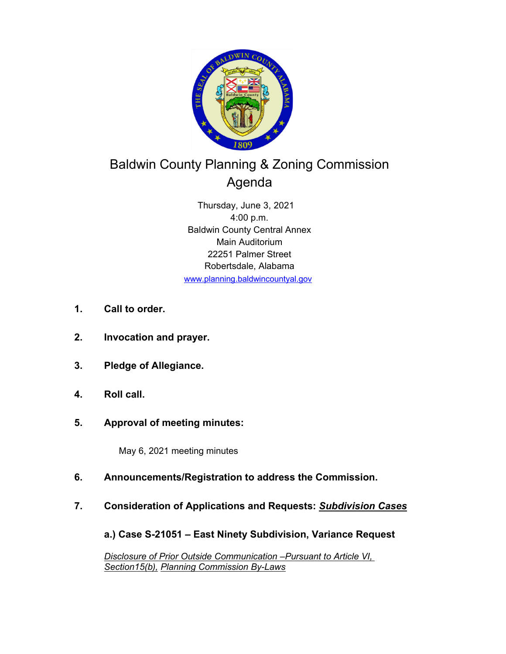

# Baldwin County Planning & Zoning Commission Agenda

Thursday, June 3, 2021 4:00 p.m. Baldwin County Central Annex Main Auditorium 22251 Palmer Street Robertsdale, Alabama www.planning.baldwincountyal.gov

- **1. Call to order.**
- **2. Invocation and prayer.**
- **3. Pledge of Allegiance.**
- **4. Roll call.**
- **5. Approval of meeting minutes:**

May 6, 2021 meeting minutes

- **6. Announcements/Registration to address the Commission.**
- **7. Consideration of Applications and Requests:** *Subdivision Cases*

**a.) Case S-21051 – East Ninety Subdivision, Variance Request**

*Disclosure of Prior Outside Communication –Pursuant to Article VI, Section15(b), Planning Commission By-Laws*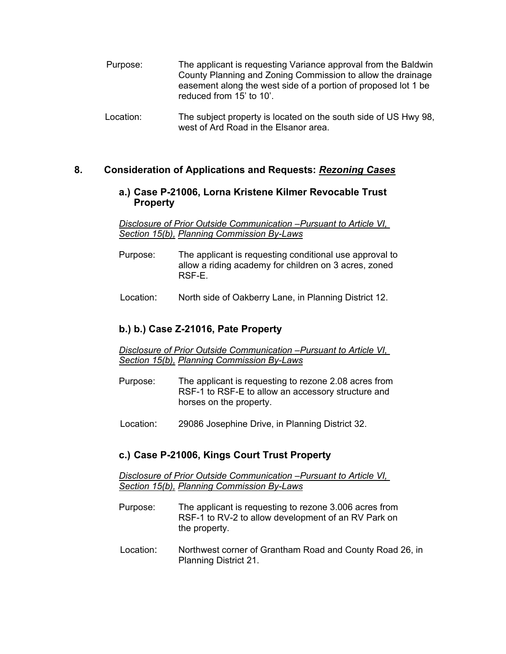| Purpose: | The applicant is requesting Variance approval from the Baldwin<br>County Planning and Zoning Commission to allow the drainage<br>easement along the west side of a portion of proposed lot 1 be<br>reduced from 15' to 10'. |
|----------|-----------------------------------------------------------------------------------------------------------------------------------------------------------------------------------------------------------------------------|
|          |                                                                                                                                                                                                                             |

Location: The subject property is located on the south side of US Hwy 98, west of Ard Road in the Elsanor area.

## **8. Consideration of Applications and Requests:** *Rezoning Cases*

#### **a.) Case P-21006, Lorna Kristene Kilmer Revocable Trust Property**

*Disclosure of Prior Outside Communication –Pursuant to Article VI, Section 15(b), Planning Commission By-Laws* 

- Purpose: The applicant is requesting conditional use approval to allow a riding academy for children on 3 acres, zoned RSF-E.
- Location: North side of Oakberry Lane, in Planning District 12.

## **b.) b.) Case Z-21016, Pate Property**

*Disclosure of Prior Outside Communication –Pursuant to Article VI, Section 15(b), Planning Commission By-Laws* 

- Purpose: The applicant is requesting to rezone 2.08 acres from RSF-1 to RSF-E to allow an accessory structure and horses on the property.
- Location: 29086 Josephine Drive, in Planning District 32.

#### **c.) Case P-21006, Kings Court Trust Property**

*Disclosure of Prior Outside Communication –Pursuant to Article VI, Section 15(b), Planning Commission By-Laws* 

- Purpose: The applicant is requesting to rezone 3.006 acres from RSF-1 to RV-2 to allow development of an RV Park on the property.
- Location: Northwest corner of Grantham Road and County Road 26, in Planning District 21.